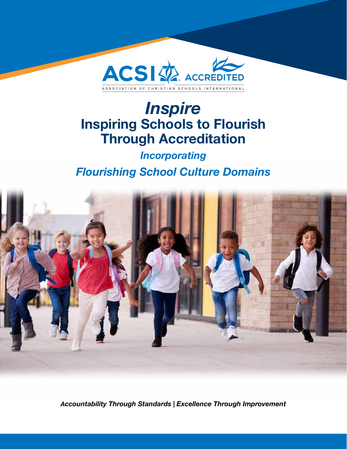

# *Inspire* Inspiring Schools to Flourish Through Accreditation

## *Incorporating Flourishing School Culture Domains*



*Accountability Through Standards | Excellence Through Improvement*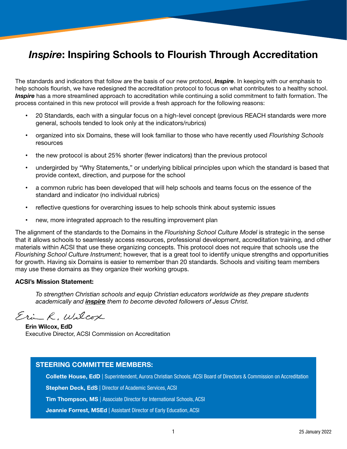### *Inspire*: Inspiring Schools to Flourish Through Accreditation

The standards and indicators that follow are the basis of our new protocol, *Inspire*. In keeping with our emphasis to help schools flourish, we have redesigned the accreditation protocol to focus on what contributes to a healthy school. *Inspire* has a more streamlined approach to accreditation while continuing a solid commitment to faith formation. The process contained in this new protocol will provide a fresh approach for the following reasons:

- 20 Standards, each with a singular focus on a high-level concept (previous REACH standards were more general, schools tended to look only at the indicators/rubrics)
- organized into six Domains, these will look familiar to those who have recently used *Flourishing Schools* resources
- the new protocol is about 25% shorter (fewer indicators) than the previous protocol
- undergirded by "Why Statements," or underlying biblical principles upon which the standard is based that provide context, direction, and purpose for the school
- a common rubric has been developed that will help schools and teams focus on the essence of the standard and indicator (no individual rubrics)
- reflective questions for overarching issues to help schools think about systemic issues
- new, more integrated approach to the resulting improvement plan

The alignment of the standards to the Domains in the *Flourishing School Culture Model* is strategic in the sense that it allows schools to seamlessly access resources, professional development, accreditation training, and other materials within ACSI that use these organizing concepts. This protocol does not require that schools use the *Flourishing School Culture Instrument*; however, that is a great tool to identify unique strengths and opportunities for growth. Having six Domains is easier to remember than 20 standards. Schools and visiting team members may use these domains as they organize their working groups.

#### ACSI's Mission Statement:

*To strengthen Christian schools and equip Christian educators worldwide as they prepare students academically and inspire them to become devoted followers of Jesus Christ.* 

Erin R, Wilcox

Erin Wilcox, EdD Executive Director, ACSI Commission on Accreditation

#### STEERING COMMITTEE MEMBERS:

Collette House, EdD | Superintendent, Aurora Christian Schools; ACSI Board of Directors & Commission on Accreditation

Stephen Deck, EdS | Director of Academic Services, ACSI

Tim Thompson, MS | Associate Director for International Schools, ACSI

Jeannie Forrest, MSEd | Assistant Director of Early Education, ACSI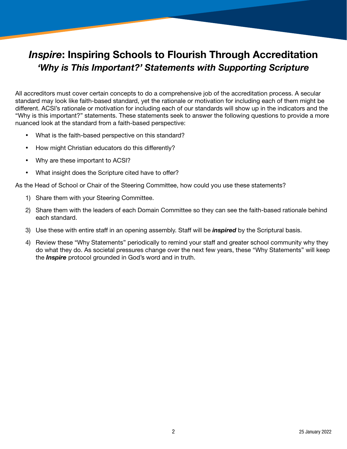## *Inspire*: Inspiring Schools to Flourish Through Accreditation *'Why is This Important?' Statements with Supporting Scripture*

All accreditors must cover certain concepts to do a comprehensive job of the accreditation process. A secular standard may look like faith-based standard, yet the rationale or motivation for including each of them might be different. ACSI's rationale or motivation for including each of our standards will show up in the indicators and the "Why is this important?" statements. These statements seek to answer the following questions to provide a more nuanced look at the standard from a faith-based perspective:

- What is the faith-based perspective on this standard?
- How might Christian educators do this differently?
- Why are these important to ACSI?
- What insight does the Scripture cited have to offer?

As the Head of School or Chair of the Steering Committee, how could you use these statements?

- 1) Share them with your Steering Committee.
- 2) Share them with the leaders of each Domain Committee so they can see the faith-based rationale behind each standard.
- 3) Use these with entire staff in an opening assembly. Staff will be *inspired* by the Scriptural basis.
- 4) Review these "Why Statements" periodically to remind your staff and greater school community why they do what they do. As societal pressures change over the next few years, these "Why Statements" will keep the *Inspire* protocol grounded in God's word and in truth.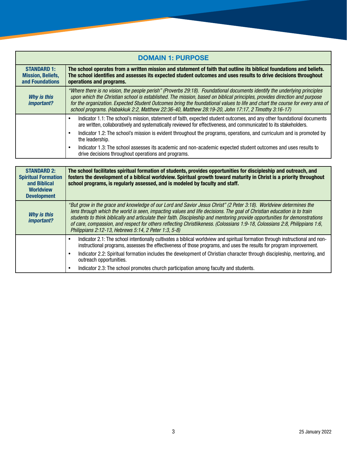| <b>DOMAIN 1: PURPOSE</b>                                          |                                                                                                                                                                                                                                                                                                                                                                                                                                                                                              |
|-------------------------------------------------------------------|----------------------------------------------------------------------------------------------------------------------------------------------------------------------------------------------------------------------------------------------------------------------------------------------------------------------------------------------------------------------------------------------------------------------------------------------------------------------------------------------|
| <b>STANDARD 1:</b><br><b>Mission, Beliefs,</b><br>and Foundations | The school operates from a written mission and statement of faith that outline its biblical foundations and beliefs.<br>The school identifies and assesses its expected student outcomes and uses results to drive decisions throughout<br>operations and programs.                                                                                                                                                                                                                          |
| <b>Why is this</b><br>important?                                  | "Where there is no vision, the people perish" (Proverbs 29:18). Foundational documents identify the underlying principles<br>upon which the Christian school is established. The mission, based on biblical principles, provides direction and purpose<br>for the organization. Expected Student Outcomes bring the foundational values to life and chart the course for every area of<br>school programs. (Habakkuk 2:2, Matthew 22:36-40, Matthew 28:19-20, John 17:17, 2 Timothy 3:16-17) |
|                                                                   | Indicator 1.1: The school's mission, statement of faith, expected student outcomes, and any other foundational documents<br>are written, collaboratively and systematically reviewed for effectiveness, and communicated to its stakeholders.                                                                                                                                                                                                                                                |
|                                                                   | Indicator 1.2: The school's mission is evident throughout the programs, operations, and curriculum and is promoted by<br>the leadership.                                                                                                                                                                                                                                                                                                                                                     |
|                                                                   | Indicator 1.3: The school assesses its academic and non-academic expected student outcomes and uses results to<br>drive decisions throughout operations and programs.                                                                                                                                                                                                                                                                                                                        |

| <b>STANDARD 2:</b><br><b>Spiritual Formation</b><br>and Biblical<br><b>Worldview</b><br><b>Development</b> | The school facilitates spiritual formation of students, provides opportunities for discipleship and outreach, and<br>fosters the development of a biblical worldview. Spiritual growth toward maturity in Christ is a priority throughout<br>school programs, is regularly assessed, and is modeled by faculty and staff.                                                                                                                                                                                                                                           |
|------------------------------------------------------------------------------------------------------------|---------------------------------------------------------------------------------------------------------------------------------------------------------------------------------------------------------------------------------------------------------------------------------------------------------------------------------------------------------------------------------------------------------------------------------------------------------------------------------------------------------------------------------------------------------------------|
| <b>Why is this</b><br><i>important?</i>                                                                    | "But grow in the grace and knowledge of our Lord and Savior Jesus Christ" (2 Peter 3:18). Worldview determines the<br>lens through which the world is seen, impacting values and life decisions. The goal of Christian education is to train<br>students to think biblically and articulate their faith. Discipleship and mentoring provide opportunities for demonstrations<br>of care, compassion, and respect for others reflecting Christlikeness. (Colossians 1:9-18, Colossians 2:8, Philippians 1:6,<br>Philippians 2:12-13, Hebrews 5:14, 2 Peter 1:3, 5-8) |
|                                                                                                            | Indicator 2.1: The school intentionally cultivates a biblical worldview and spiritual formation through instructional and non-<br>instructional programs, assesses the effectiveness of those programs, and uses the results for program improvement.                                                                                                                                                                                                                                                                                                               |
|                                                                                                            | Indicator 2.2: Spiritual formation includes the development of Christian character through discipleship, mentoring, and<br>outreach opportunities.                                                                                                                                                                                                                                                                                                                                                                                                                  |
|                                                                                                            | Indicator 2.3: The school promotes church participation among faculty and students.                                                                                                                                                                                                                                                                                                                                                                                                                                                                                 |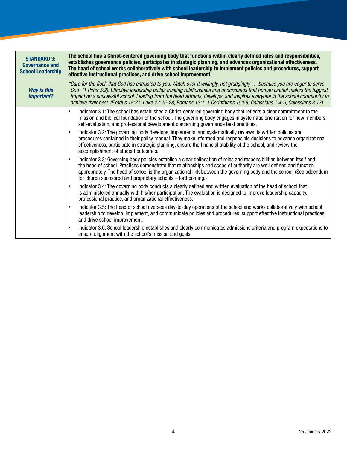| <b>STANDARD 3:</b><br><b>Governance and</b><br><b>School Leadership</b> | The school has a Christ-centered governing body that functions within clearly defined roles and responsibilities,<br>establishes governance policies, participates in strategic planning, and advances organizational effectiveness.<br>The head of school works collaboratively with school leadership to implement policies and procedures, support<br>effective instructional practices, and drive school improvement.                                                                                         |
|-------------------------------------------------------------------------|-------------------------------------------------------------------------------------------------------------------------------------------------------------------------------------------------------------------------------------------------------------------------------------------------------------------------------------------------------------------------------------------------------------------------------------------------------------------------------------------------------------------|
| <b>Why is this</b><br>important?                                        | "Care for the flock that God has entrusted to you. Watch over it willingly, not grudgingly  because you are eager to serve<br>God" (1 Peter 5:2). Effective leadership builds trusting relationships and understands that human capital makes the biggest<br>impact on a successful school. Leading from the heart attracts, develops, and inspires everyone in the school community to<br>achieve their best. (Exodus 18:21, Luke 22:25-28, Romans 13:1, 1 Corinthians 15:58, Colossians 1:4-5, Colossians 3:17) |
|                                                                         | Indicator 3.1: The school has established a Christ-centered governing body that reflects a clear commitment to the<br>$\bullet$<br>mission and biblical foundation of the school. The governing body engages in systematic orientation for new members,<br>self-evaluation, and professional development concerning governance best practices.                                                                                                                                                                    |
|                                                                         | Indicator 3.2: The governing body develops, implements, and systematically reviews its written policies and<br>$\bullet$<br>procedures contained in their policy manual. They make informed and responsible decisions to advance organizational<br>effectiveness, participate in strategic planning, ensure the financial stability of the school, and review the<br>accomplishment of student outcomes.                                                                                                          |
|                                                                         | Indicator 3.3: Governing body policies establish a clear delineation of roles and responsibilities between itself and<br>$\bullet$<br>the head of school. Practices demonstrate that relationships and scope of authority are well defined and function<br>appropriately. The head of school is the organizational link between the governing body and the school. (See addendum<br>for church sponsored and proprietary schools – forthcoming.)                                                                  |
|                                                                         | Indicator 3.4: The governing body conducts a clearly defined and written evaluation of the head of school that<br>is administered annually with his/her participation. The evaluation is designed to improve leadership capacity,<br>professional practice, and organizational effectiveness.                                                                                                                                                                                                                     |
|                                                                         | Indicator 3.5: The head of school oversees day-to-day operations of the school and works collaboratively with school<br>leadership to develop, implement, and communicate policies and procedures; support effective instructional practices;<br>and drive school improvement.                                                                                                                                                                                                                                    |
|                                                                         | Indicator 3.6: School leadership establishes and clearly communicates admissions criteria and program expectations to<br>٠<br>ensure alignment with the school's mission and goals.                                                                                                                                                                                                                                                                                                                               |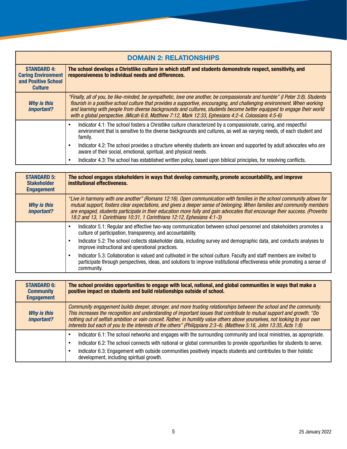| <b>DOMAIN 2: RELATIONSHIPS</b>                                                           |                                                                                                                                                                                                                                                                                                                                                                                                                                                                                          |
|------------------------------------------------------------------------------------------|------------------------------------------------------------------------------------------------------------------------------------------------------------------------------------------------------------------------------------------------------------------------------------------------------------------------------------------------------------------------------------------------------------------------------------------------------------------------------------------|
| <b>STANDARD 4:</b><br><b>Caring Environment</b><br>and Positive School<br><b>Culture</b> | The school develops a Christlike culture in which staff and students demonstrate respect, sensitivity, and<br>responsiveness to individual needs and differences.                                                                                                                                                                                                                                                                                                                        |
| <b>Why is this</b><br><i>important?</i>                                                  | "Finally, all of you, be like-minded, be sympathetic, love one another, be compassionate and humble" (I Peter 3:8). Students<br>flourish in a positive school culture that provides a supportive, encouraging, and challenging environment. When working<br>and learning with people from diverse backgrounds and cultures, students become better equipped to engage their world<br>with a global perspective. (Micah 6:8, Matthew 7:12, Mark 12:33, Ephesians 4:2-4, Colossians 4:5-6) |
|                                                                                          | Indicator 4.1: The school fosters a Christlike culture characterized by a compassionate, caring, and respectful<br>environment that is sensitive to the diverse backgrounds and cultures, as well as varying needs, of each student and<br>family.                                                                                                                                                                                                                                       |
|                                                                                          | Indicator 4.2: The school provides a structure whereby students are known and supported by adult advocates who are<br>aware of their social, emotional, spiritual, and physical needs.                                                                                                                                                                                                                                                                                                   |
|                                                                                          | Indicator 4.3: The school has established written policy, based upon biblical principles, for resolving conflicts.                                                                                                                                                                                                                                                                                                                                                                       |

| <b>STANDARD 5:</b><br><b>Stakeholder</b><br><b>Engagement</b> | The school engages stakeholders in ways that develop community, promote accountability, and improve<br>institutional effectiveness.                                                                                                                                                                                                                                                                                                                       |
|---------------------------------------------------------------|-----------------------------------------------------------------------------------------------------------------------------------------------------------------------------------------------------------------------------------------------------------------------------------------------------------------------------------------------------------------------------------------------------------------------------------------------------------|
| <b>Why is this</b><br><i>important?</i>                       | "Live in harmony with one another" (Romans 12:16). Open communication with families in the school community allows for<br>mutual support, fosters clear expectations, and gives a deeper sense of belonging. When families and community members<br>are engaged, students participate in their education more fully and gain advocates that encourage their success. (Proverbs<br>18:2 and 13, 1 Corinthians 10:31, 1 Corinthians 12:12, Ephesians 4:1-3) |
|                                                               | Indicator 5.1: Regular and effective two-way communication between school personnel and stakeholders promotes a<br>culture of participation, transparency, and accountability.                                                                                                                                                                                                                                                                            |
|                                                               | Indicator 5.2: The school collects stakeholder data, including survey and demographic data, and conducts analyses to<br>improve instructional and operational practices.                                                                                                                                                                                                                                                                                  |
|                                                               | Indicator 5.3: Collaboration is valued and cultivated in the school culture. Faculty and staff members are invited to<br>participate through perspectives, ideas, and solutions to improve institutional effectiveness while promoting a sense of<br>community.                                                                                                                                                                                           |

| <b>STANDARD 6:</b><br><b>Community</b><br><b>Engagement</b> | The school provides opportunities to engage with local, national, and global communities in ways that make a<br>positive impact on students and build relationships outside of school.                                                                                                                                                                                                                                                                                                              |
|-------------------------------------------------------------|-----------------------------------------------------------------------------------------------------------------------------------------------------------------------------------------------------------------------------------------------------------------------------------------------------------------------------------------------------------------------------------------------------------------------------------------------------------------------------------------------------|
| <b>Why is this</b><br><i>important?</i>                     | Community engagement builds deeper, stronger, and more trusting relationships between the school and the community.<br>This increases the recognition and understanding of important issues that contribute to mutual support and growth. "Do<br>nothing out of selfish ambition or vain conceit. Rather, in humility value others above yourselves, not looking to your own<br>interests but each of you to the interests of the others" (Philippians 2:3-4). (Matthew 5:16, John 13:35, Acts 1:8) |
|                                                             | Indicator 6.1: The school networks and engages with the surrounding community and local ministries, as appropriate.<br>Indicator 6.2: The school connects with national or global communities to provide opportunities for students to serve.<br>Indicator 6.3: Engagement with outside communities positively impacts students and contributes to their holistic<br>development, including spiritual growth.                                                                                       |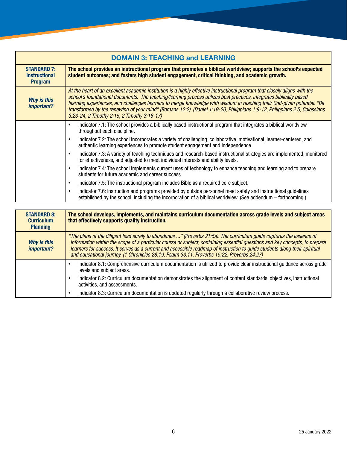| <b>DOMAIN 3: TEACHING and LEARNING</b>                       |                                                                                                                                                                                                                                                                                                                                                                                                                                                                                                                                                          |
|--------------------------------------------------------------|----------------------------------------------------------------------------------------------------------------------------------------------------------------------------------------------------------------------------------------------------------------------------------------------------------------------------------------------------------------------------------------------------------------------------------------------------------------------------------------------------------------------------------------------------------|
| <b>STANDARD 7:</b><br><b>Instructional</b><br><b>Program</b> | The school provides an instructional program that promotes a biblical worldview; supports the school's expected<br>student outcomes; and fosters high student engagement, critical thinking, and academic growth.                                                                                                                                                                                                                                                                                                                                        |
| <b>Why is this</b><br>important?                             | At the heart of an excellent academic institution is a highly effective instructional program that closely aligns with the<br>school's foundational documents. The teaching/learning process utilizes best practices, integrates biblically based<br>learning experiences, and challenges learners to merge knowledge with wisdom in reaching their God-given potential. "Be<br>transformed by the renewing of your mind" (Romans 12:2). (Daniel 1:19-20, Philippians 1:9-12, Philippians 2:5, Colossians<br>3:23-24, 2 Timothy 2:15, 2 Timothy 3:16-17) |
|                                                              | Indicator 7.1: The school provides a biblically based instructional program that integrates a biblical worldview<br>throughout each discipline.                                                                                                                                                                                                                                                                                                                                                                                                          |
|                                                              | Indicator 7.2: The school incorporates a variety of challenging, collaborative, motivational, learner-centered, and<br>authentic learning experiences to promote student engagement and independence.                                                                                                                                                                                                                                                                                                                                                    |
|                                                              | Indicator 7.3: A variety of teaching techniques and research-based instructional strategies are implemented, monitored<br>for effectiveness, and adjusted to meet individual interests and ability levels.                                                                                                                                                                                                                                                                                                                                               |
|                                                              | Indicator 7.4: The school implements current uses of technology to enhance teaching and learning and to prepare<br>students for future academic and career success.                                                                                                                                                                                                                                                                                                                                                                                      |
|                                                              | Indicator 7.5: The instructional program includes Bible as a required core subject.                                                                                                                                                                                                                                                                                                                                                                                                                                                                      |
|                                                              | Indicator 7.6: Instruction and programs provided by outside personnel meet safety and instructional guidelines<br>established by the school, including the incorporation of a biblical worldview. (See addendum - forthcoming.)                                                                                                                                                                                                                                                                                                                          |
|                                                              |                                                                                                                                                                                                                                                                                                                                                                                                                                                                                                                                                          |

| <b>STANDARD 8:</b><br><b>Curriculum</b><br><b>Planning</b> | The school develops, implements, and maintains curriculum documentation across grade levels and subject areas<br>that effectively supports quality instruction.                                                                                                                                                                                                                                                                                                                 |
|------------------------------------------------------------|---------------------------------------------------------------------------------------------------------------------------------------------------------------------------------------------------------------------------------------------------------------------------------------------------------------------------------------------------------------------------------------------------------------------------------------------------------------------------------|
| Why is this<br><i>important?</i>                           | "The plans of the diligent lead surely to abundance " (Proverbs 21:5a). The curriculum guide captures the essence of<br>information within the scope of a particular course or subject, containing essential questions and key concepts, to prepare<br>learners for success. It serves as a current and accessible roadmap of instruction to quide students along their spiritual<br>and educational journey. (1 Chronicles 28:19, Psalm 33:11, Proverbs 15:22, Proverbs 24:27) |
|                                                            | Indicator 8.1: Comprehensive curriculum documentation is utilized to provide clear instructional guidance across grade<br>levels and subject areas.                                                                                                                                                                                                                                                                                                                             |
|                                                            | Indicator 8.2: Curriculum documentation demonstrates the alignment of content standards, objectives, instructional<br>activities, and assessments.                                                                                                                                                                                                                                                                                                                              |
|                                                            | Indicator 8.3: Curriculum documentation is updated regularly through a collaborative review process.                                                                                                                                                                                                                                                                                                                                                                            |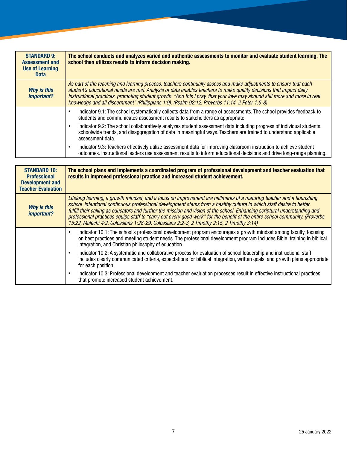| <b>STANDARD 9:</b><br><b>Assessment and</b><br><b>Use of Learning</b><br><b>Data</b> | The school conducts and analyzes varied and authentic assessments to monitor and evaluate student learning. The<br>school then utilizes results to inform decision making.                                                                                                                                                                                                                                                                                               |
|--------------------------------------------------------------------------------------|--------------------------------------------------------------------------------------------------------------------------------------------------------------------------------------------------------------------------------------------------------------------------------------------------------------------------------------------------------------------------------------------------------------------------------------------------------------------------|
| <b>Why is this</b><br><i>important?</i>                                              | As part of the teaching and learning process, teachers continually assess and make adjustments to ensure that each<br>student's educational needs are met. Analysis of data enables teachers to make quality decisions that impact daily<br>instructional practices, promoting student growth. "And this I pray, that your love may abound still more and more in real<br>knowledge and all discernment" (Philippians 1:9). (Psalm 92:12, Proverbs 11:14, 2 Peter 1:5-8) |
|                                                                                      | Indicator 9.1: The school systematically collects data from a range of assessments. The school provides feedback to<br>students and communicates assessment results to stakeholders as appropriate.<br>Indicator 9.2: The school collaboratively analyzes student assessment data including progress of individual students,<br>schoolwide trends, and disaggregation of data in meaningful ways. Teachers are trained to understand applicable<br>assessment data.      |
|                                                                                      | Indicator 9.3: Teachers effectively utilize assessment data for improving classroom instruction to achieve student<br>outcomes. Instructional leaders use assessment results to inform educational decisions and drive long-range planning.                                                                                                                                                                                                                              |

| <b>STANDARD 10:</b><br><b>Professional</b><br><b>Development and</b><br><b>Teacher Evaluation</b> | The school plans and implements a coordinated program of professional development and teacher evaluation that<br>results in improved professional practice and increased student achievement.                                                                                                                                                                                                                                                                                                                                                                                                             |
|---------------------------------------------------------------------------------------------------|-----------------------------------------------------------------------------------------------------------------------------------------------------------------------------------------------------------------------------------------------------------------------------------------------------------------------------------------------------------------------------------------------------------------------------------------------------------------------------------------------------------------------------------------------------------------------------------------------------------|
| <b>Why is this</b><br>important?                                                                  | Lifelong learning, a growth mindset, and a focus on improvement are hallmarks of a maturing teacher and a flourishing<br>school. Intentional continuous professional development stems from a healthy culture in which staff desire to better<br>fulfill their calling as educators and further the mission and vision of the school. Enhancing scriptural understanding and<br>professional practices equips staff to "carry out every good work" for the benefit of the entire school community. (Proverbs<br>15:22, Malachi 4:2, Colossians 1:28-29, Colossians 2:2-3, 2 Timothy 2:15, 2 Timothy 3:14) |
|                                                                                                   | Indicator 10.1: The school's professional development program encourages a growth mindset among faculty, focusing<br>on best practices and meeting student needs. The professional development program includes Bible, training in biblical<br>integration, and Christian philosophy of education.                                                                                                                                                                                                                                                                                                        |
|                                                                                                   | Indicator 10.2: A systematic and collaborative process for evaluation of school leadership and instructional staff<br>includes clearly communicated criteria, expectations for biblical integration, written goals, and growth plans appropriate<br>for each position.                                                                                                                                                                                                                                                                                                                                    |
|                                                                                                   | Indicator 10.3: Professional development and teacher evaluation processes result in effective instructional practices<br>that promote increased student achievement.                                                                                                                                                                                                                                                                                                                                                                                                                                      |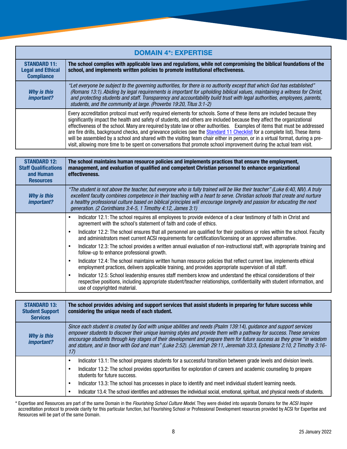| <b>DOMAIN 4*: EXPERTISE</b>                                          |                                                                                                                                                                                                                                                                                                                                                                                                                                                                                                                                                                                                                                                                                                                                                                       |
|----------------------------------------------------------------------|-----------------------------------------------------------------------------------------------------------------------------------------------------------------------------------------------------------------------------------------------------------------------------------------------------------------------------------------------------------------------------------------------------------------------------------------------------------------------------------------------------------------------------------------------------------------------------------------------------------------------------------------------------------------------------------------------------------------------------------------------------------------------|
| <b>STANDARD 11:</b><br><b>Legal and Ethical</b><br><b>Compliance</b> | The school complies with applicable laws and regulations, while not compromising the biblical foundations of the<br>school, and implements written policies to promote institutional effectiveness.                                                                                                                                                                                                                                                                                                                                                                                                                                                                                                                                                                   |
| Why is this<br>important?                                            | "Let everyone be subject to the governing authorities, for there is no authority except that which God has established"<br>(Romans 13:1). Abiding by legal requirements is important for upholding biblical values, maintaining a witness for Christ,<br>and protecting students and staff. Transparency and accountability build trust with legal authorities, employees, parents,<br>students, and the community at large. (Proverbs 19:20, Titus 3:1-2)                                                                                                                                                                                                                                                                                                            |
|                                                                      | Every accreditation protocol must verify required elements for schools. Some of these items are included because they<br>significantly impact the health and safety of students, and others are included because they affect the organizational<br>effectiveness of the school. Many are required by state law or other authorities. Examples of items that must be addressed<br>are fire drills, background checks, and grievance policies (see the Standard 11 Checklist for a complete list). These items<br>will be assembled by a school and shared with the visiting team chair either in person, or in a virtual format, during a pre-<br>visit, allowing more time to be spent on conversations that promote school improvement during the actual team visit. |

| <b>STANDARD 12:</b><br><b>Staff Qualifications</b><br>and Human<br><b>Resources</b> | The school maintains human resource policies and implements practices that ensure the employment,<br>management, and evaluation of qualified and competent Christian personnel to enhance organizational<br>effectiveness.                                                                                                                                                                                                                            |
|-------------------------------------------------------------------------------------|-------------------------------------------------------------------------------------------------------------------------------------------------------------------------------------------------------------------------------------------------------------------------------------------------------------------------------------------------------------------------------------------------------------------------------------------------------|
| Why is this<br><i>important?</i>                                                    | "The student is not above the teacher, but everyone who is fully trained will be like their teacher" (Luke 6:40, NIV). A truly<br>excellent faculty combines competence in their teaching with a heart to serve. Christian schools that create and nurture<br>a healthy professional culture based on biblical principles will encourage longevity and passion for educating the next<br>generation. (2 Corinthians 3:4-5, 1 Timothy 4:12, James 3:1) |
|                                                                                     | Indicator 12.1: The school requires all employees to provide evidence of a clear testimony of faith in Christ and<br>agreement with the school's statement of faith and code of ethics.                                                                                                                                                                                                                                                               |
|                                                                                     | Indicator 12.2: The school ensures that all personnel are qualified for their positions or roles within the school. Faculty<br>and administrators meet current ACSI requirements for certification/licensing or an approved alternative.                                                                                                                                                                                                              |
|                                                                                     | Indicator 12.3: The school provides a written annual evaluation of non-instructional staff, with appropriate training and<br>follow-up to enhance professional growth.                                                                                                                                                                                                                                                                                |
|                                                                                     | Indicator 12.4: The school maintains written human resource policies that reflect current law, implements ethical<br>employment practices, delivers applicable training, and provides appropriate supervision of all staff.                                                                                                                                                                                                                           |
|                                                                                     | Indicator 12.5: School leadership ensures staff members know and understand the ethical considerations of their<br>respective positions, including appropriate student/teacher relationships, confidentiality with student information, and<br>use of copyrighted material.                                                                                                                                                                           |

| <b>STANDARD 13:</b><br><b>Student Support</b><br><b>Services</b> | The school provides advising and support services that assist students in preparing for future success while<br>considering the unique needs of each student.                                                                                                                                                                                                                                                                                                                                            |
|------------------------------------------------------------------|----------------------------------------------------------------------------------------------------------------------------------------------------------------------------------------------------------------------------------------------------------------------------------------------------------------------------------------------------------------------------------------------------------------------------------------------------------------------------------------------------------|
| Why is this<br>important?                                        | Since each student is created by God with unique abilities and needs (Psalm 139:14), guidance and support services<br>empower students to discover their unique learning styles and provide them with a pathway for success. These services<br>encourage students through key stages of their development and prepare them for future success as they grow "in wisdom<br>and stature, and in favor with God and man" (Luke 2:52). (Jeremiah 29:11, Jeremiah 33:3, Ephesians 2:10, 2 Timothy 3:16-<br>17) |
|                                                                  | Indicator 13.1: The school prepares students for a successful transition between grade levels and division levels.                                                                                                                                                                                                                                                                                                                                                                                       |
|                                                                  | Indicator 13.2: The school provides opportunities for exploration of careers and academic counseling to prepare<br>students for future success.                                                                                                                                                                                                                                                                                                                                                          |
|                                                                  | Indicator 13.3: The school has processes in place to identify and meet individual student learning needs.                                                                                                                                                                                                                                                                                                                                                                                                |
|                                                                  | Indicator 13.4: The school identifies and addresses the individual social, emotional, spiritual, and physical needs of students.                                                                                                                                                                                                                                                                                                                                                                         |

\* Expertise and Resources are part of the same Domain in the *Flourishing School Culture Model*. They were divided into separate Domains for the *ACSI Inspire* accreditation protocol to provide clarity for this particular function, but Flourishing School or Professional Development resources provided by ACSI for Expertise and Resources will be part of the same Domain.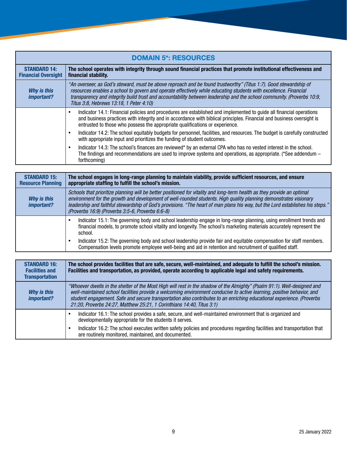| <b>DOMAIN 5*: RESOURCES</b>                       |                                                                                                                                                                                                                                                                                                                                                                                                            |
|---------------------------------------------------|------------------------------------------------------------------------------------------------------------------------------------------------------------------------------------------------------------------------------------------------------------------------------------------------------------------------------------------------------------------------------------------------------------|
| <b>STANDARD 14:</b><br><b>Financial Oversight</b> | The school operates with integrity through sound financial practices that promote institutional effectiveness and<br>financial stability.                                                                                                                                                                                                                                                                  |
| <b>Why is this</b><br>important?                  | "An overseer, as God's steward, must be above reproach and be found trustworthy" (Titus 1:7). Good stewardship of<br>resources enables a school to govern and operate effectively while educating students with excellence. Financial<br>transparency and integrity build trust and accountability between leadership and the school community. (Proverbs 10:9,<br>Titus 3:8, Hebrews 13:18, 1 Peter 4:10) |
|                                                   | Indicator 14.1: Financial policies and procedures are established and implemented to guide all financial operations<br>and business practices with integrity and in accordance with biblical principles. Financial and business oversight is<br>entrusted to those who possess the appropriate qualifications or experience.                                                                               |
|                                                   | Indicator 14.2: The school equitably budgets for personnel, facilities, and resources. The budget is carefully constructed<br>with appropriate input and prioritizes the funding of student outcomes.                                                                                                                                                                                                      |
|                                                   | Indicator 14.3: The school's finances are reviewed* by an external CPA who has no vested interest in the school.<br>The findings and recommendations are used to improve systems and operations, as appropriate. (*See addendum –<br>forthcoming)                                                                                                                                                          |

| <b>STANDARD 15:</b><br><b>Resource Planning</b> | The school engages in long-range planning to maintain viability, provide sufficient resources, and ensure<br>appropriate staffing to fulfill the school's mission.                                                                                                                                                                                                                                                                 |
|-------------------------------------------------|------------------------------------------------------------------------------------------------------------------------------------------------------------------------------------------------------------------------------------------------------------------------------------------------------------------------------------------------------------------------------------------------------------------------------------|
| Why is this<br><i>important?</i>                | Schools that prioritize planning will be better positioned for vitality and long-term health as they provide an optimal<br>environment for the growth and development of well-rounded students. High quality planning demonstrates visionary<br>leadership and faithful stewardship of God's provisions. "The heart of man plans his way, but the Lord establishes his steps."<br>(Proverbs 16:9) (Proverbs 3:5-6, Proverbs 6:6-8) |
|                                                 | Indicator 15.1: The governing body and school leadership engage in long-range planning, using enrollment trends and<br>financial models, to promote school vitality and longevity. The school's marketing materials accurately represent the<br>school.                                                                                                                                                                            |
|                                                 | Indicator 15.2: The governing body and school leadership provide fair and equitable compensation for staff members.<br>Compensation levels promote employee well-being and aid in retention and recruitment of qualified staff.                                                                                                                                                                                                    |

| <b>STANDARD 16:</b><br><b>Facilities and</b><br><b>Transportation</b> | The school provides facilities that are safe, secure, well-maintained, and adequate to fulfill the school's mission.<br>Facilities and transportation, as provided, operate according to applicable legal and safety requirements.                                                                                                                                                                                                                   |
|-----------------------------------------------------------------------|------------------------------------------------------------------------------------------------------------------------------------------------------------------------------------------------------------------------------------------------------------------------------------------------------------------------------------------------------------------------------------------------------------------------------------------------------|
| Why is this<br><i>important?</i>                                      | "Whoever dwells in the shelter of the Most High will rest in the shadow of the Almighty" (Psalm 91:1). Well-designed and<br>well-maintained school facilities provide a welcoming environment conducive to active learning, positive behavior, and<br>student engagement. Safe and secure transportation also contributes to an enriching educational experience. (Proverbs<br>21:20, Proverbs 24:27, Matthew 25:21, 1 Corinthians 14:40, Titus 3:1) |
|                                                                       | Indicator 16.1: The school provides a safe, secure, and well-maintained environment that is organized and<br>developmentally appropriate for the students it serves.                                                                                                                                                                                                                                                                                 |
|                                                                       | Indicator 16.2: The school executes written safety policies and procedures regarding facilities and transportation that<br>are routinely monitored, maintained, and documented.                                                                                                                                                                                                                                                                      |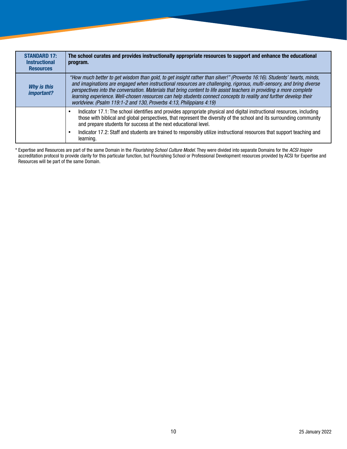| <b>STANDARD 17:</b><br><b>Instructional</b><br><b>Resources</b> | The school curates and provides instructionally appropriate resources to support and enhance the educational<br>program.                                                                                                                                                                                                                                                                                                                                                                                                                                                |
|-----------------------------------------------------------------|-------------------------------------------------------------------------------------------------------------------------------------------------------------------------------------------------------------------------------------------------------------------------------------------------------------------------------------------------------------------------------------------------------------------------------------------------------------------------------------------------------------------------------------------------------------------------|
| Why is this<br>important?                                       | "How much better to get wisdom than gold, to get insight rather than silver!" (Proverbs 16:16). Students' hearts, minds,<br>and imaginations are engaged when instructional resources are challenging, rigorous, multi-sensory, and bring diverse<br>perspectives into the conversation. Materials that bring content to life assist teachers in providing a more complete<br>learning experience. Well-chosen resources can help students connect concepts to reality and further develop their<br>worldview. (Psalm 119:1-2 and 130, Proverbs 4:13, Philippians 4:19) |
|                                                                 | Indicator 17.1: The school identifies and provides appropriate physical and digital instructional resources, including<br>those with biblical and global perspectives, that represent the diversity of the school and its surrounding community<br>and prepare students for success at the next educational level.                                                                                                                                                                                                                                                      |
|                                                                 | Indicator 17.2: Staff and students are trained to responsibly utilize instructional resources that support teaching and<br>learning.                                                                                                                                                                                                                                                                                                                                                                                                                                    |

\* Expertise and Resources are part of the same Domain in the *Flourishing School Culture Model*. They were divided into separate Domains for the *ACSI Inspire* accreditation protocol to provide clarity for this particular function, but Flourishing School or Professional Development resources provided by ACSI for Expertise and Resources will be part of the same Domain.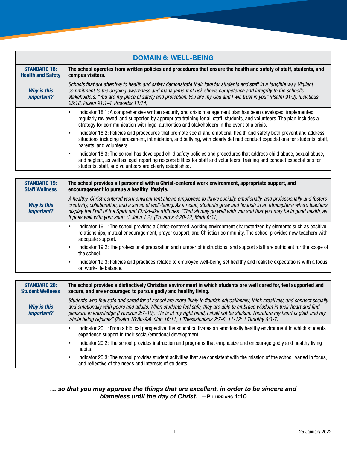| <b>DOMAIN 6: WELL-BEING</b>                     |                                                                                                                                                                                                                                                                                                                                                                                                              |
|-------------------------------------------------|--------------------------------------------------------------------------------------------------------------------------------------------------------------------------------------------------------------------------------------------------------------------------------------------------------------------------------------------------------------------------------------------------------------|
| <b>STANDARD 18:</b><br><b>Health and Safety</b> | The school operates from written policies and procedures that ensure the health and safety of staff, students, and<br>campus visitors.                                                                                                                                                                                                                                                                       |
| <b>Why is this</b><br><i>important?</i>         | Schools that are attentive to health and safety demonstrate their love for students and staff in a tangible way. Vigilant<br>commitment to the ongoing awareness and management of risk shows competence and integrity to the school's<br>stakeholders. "You are my place of safety and protection. You are my God and I will trust in you" (Psalm 91:2). (Leviticus<br>25:18, Psalm 91:1-4, Proverbs 11:14) |
|                                                 | Indicator 18.1: A comprehensive written security and crisis management plan has been developed, implemented,<br>regularly reviewed, and supported by appropriate training for all staff, students, and volunteers. The plan includes a<br>strategy for communication with legal authorities and stakeholders in the event of a crisis.                                                                       |
|                                                 | Indicator 18.2: Policies and procedures that promote social and emotional health and safety both prevent and address<br>٠<br>situations including harassment, intimidation, and bullying, with clearly defined conduct expectations for students, staff,<br>parents, and volunteers.                                                                                                                         |
|                                                 | Indicator 18.3: The school has developed child safety policies and procedures that address child abuse, sexual abuse,<br>٠<br>and neglect, as well as legal reporting responsibilities for staff and volunteers. Training and conduct expectations for<br>students, staff, and volunteers are clearly established.                                                                                           |

| <b>STANDARD 19:</b><br><b>Staff Wellness</b> | The school provides all personnel with a Christ-centered work environment, appropriate support, and<br>encouragement to pursue a healthy lifestyle.                                                                                                                                                                                                                                                                                                                           |
|----------------------------------------------|-------------------------------------------------------------------------------------------------------------------------------------------------------------------------------------------------------------------------------------------------------------------------------------------------------------------------------------------------------------------------------------------------------------------------------------------------------------------------------|
| <b>Why is this</b><br>important?             | A healthy, Christ-centered work environment allows employees to thrive socially, emotionally, and professionally and fosters<br>creativity, collaboration, and a sense of well-being. As a result, students grow and flourish in an atmosphere where teachers<br>display the Fruit of the Spirit and Christ-like attitudes. "That all may go well with you and that you may be in good health, as<br>it goes well with your soul" (3 John 1:2). (Proverbs 4:20-22, Mark 6:31) |
|                                              | Indicator 19.1: The school provides a Christ-centered working environment characterized by elements such as positive<br>relationships, mutual encouragement, prayer support, and Christian community. The school provides new teachers with<br>adequate support.                                                                                                                                                                                                              |
|                                              | Indicator 19.2: The professional preparation and number of instructional and support staff are sufficient for the scope of<br>the school.                                                                                                                                                                                                                                                                                                                                     |
|                                              | Indicator 19.3: Policies and practices related to employee well-being set healthy and realistic expectations with a focus<br>on work-life balance.                                                                                                                                                                                                                                                                                                                            |

| <b>STANDARD 20:</b><br><b>Student Wellness</b> | The school provides a distinctively Christian environment in which students are well cared for, feel supported and<br>secure, and are encouraged to pursue godly and healthy living.                                                                                                                                                                                                                                                                                                             |
|------------------------------------------------|--------------------------------------------------------------------------------------------------------------------------------------------------------------------------------------------------------------------------------------------------------------------------------------------------------------------------------------------------------------------------------------------------------------------------------------------------------------------------------------------------|
| Why is this<br><i>important?</i>               | Students who feel safe and cared for at school are more likely to flourish educationally, think creatively, and connect socially<br>and emotionally with peers and adults. When students feel safe, they are able to embrace wisdom in their heart and find<br>pleasure in knowledge (Proverbs 2:7-10). "He is at my right hand, I shall not be shaken. Therefore my heart is glad, and my<br>whole being rejoices" (Psalm 16:8b-9a). (Job 16:11; 1 Thessalonians 2:7-8, 11-12; 1 Timothy 6:3-7) |
|                                                | Indicator 20.1: From a biblical perspective, the school cultivates an emotionally healthy environment in which students<br>experience support in their social/emotional development.                                                                                                                                                                                                                                                                                                             |
|                                                | Indicator 20.2: The school provides instruction and programs that emphasize and encourage godly and healthy living<br>habits.                                                                                                                                                                                                                                                                                                                                                                    |
|                                                | Indicator 20.3: The school provides student activities that are consistent with the mission of the school, varied in focus,<br>and reflective of the needs and interests of students.                                                                                                                                                                                                                                                                                                            |

#### *… so that you may approve the things that are excellent, in order to be sincere and blameless until the day of Christ. —*Philippians 1:10